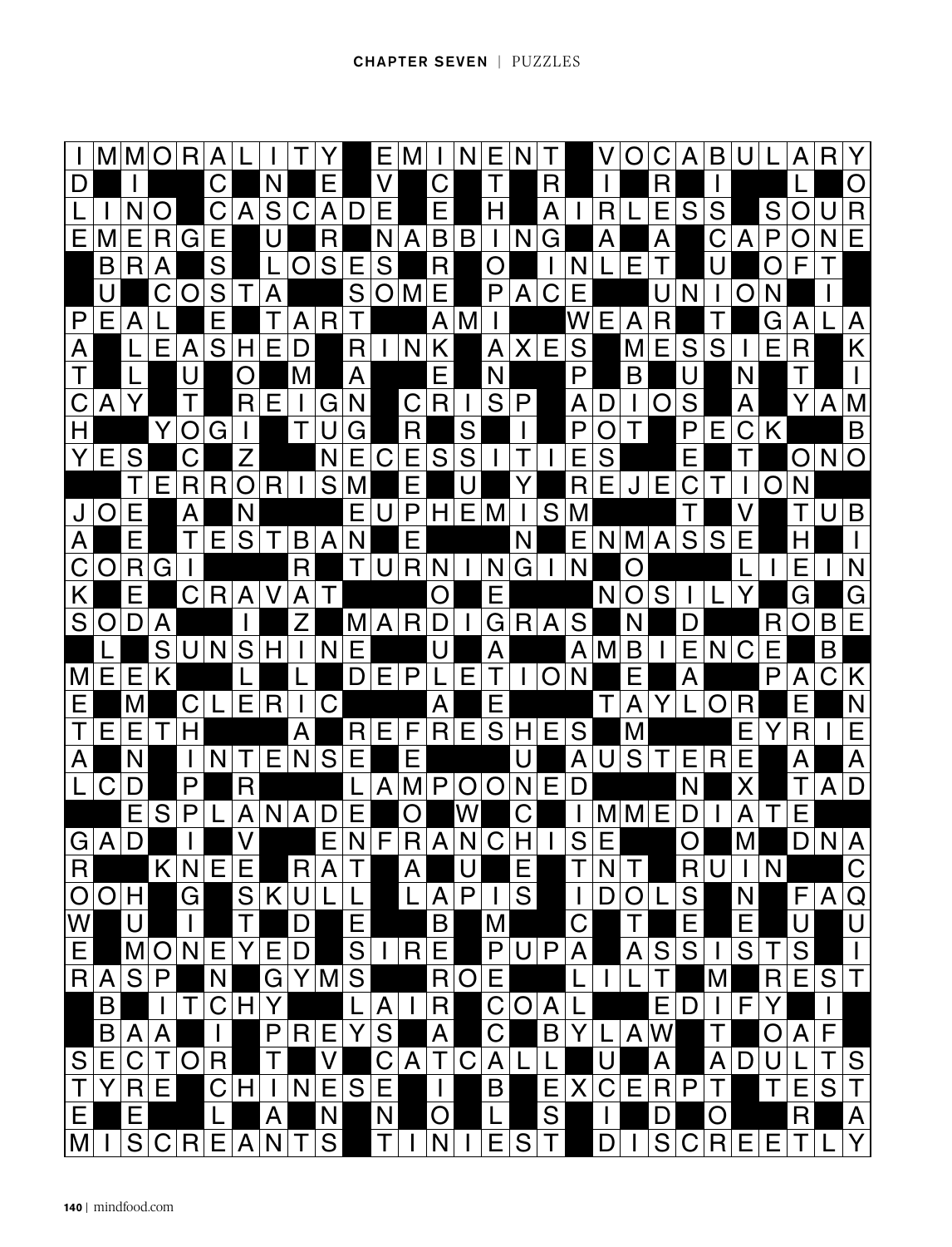